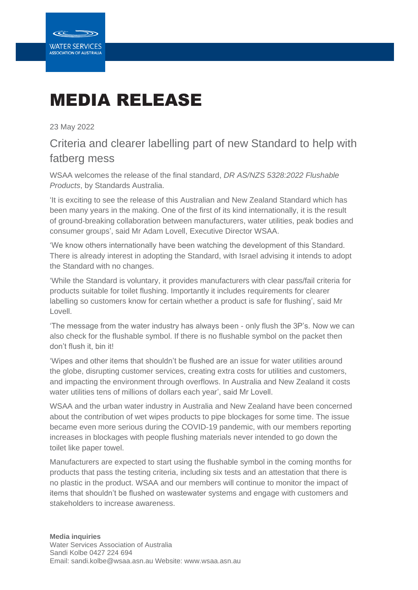

## MEDIA RELEASE

23 May 2022

## Criteria and clearer labelling part of new Standard to help with fatberg mess

WSAA welcomes the release of the final standard, *DR AS/NZS 5328:2022 Flushable Products*, by Standards Australia.

'It is exciting to see the release of this Australian and New Zealand Standard which has been many years in the making. One of the first of its kind internationally, it is the result of ground-breaking collaboration between manufacturers, water utilities, peak bodies and consumer groups', said Mr Adam Lovell, Executive Director WSAA.

'We know others internationally have been watching the development of this Standard. There is already interest in adopting the Standard, with Israel advising it intends to adopt the Standard with no changes.

'While the Standard is voluntary, it provides manufacturers with clear pass/fail criteria for products suitable for toilet flushing. Importantly it includes requirements for clearer labelling so customers know for certain whether a product is safe for flushing', said Mr Lovell.

'The message from the water industry has always been - only flush the 3P's. Now we can also check for the flushable symbol. If there is no flushable symbol on the packet then don't flush it, bin it!

'Wipes and other items that shouldn't be flushed are an issue for water utilities around the globe, disrupting customer services, creating extra costs for utilities and customers, and impacting the environment through overflows. In Australia and New Zealand it costs water utilities tens of millions of dollars each year', said Mr Lovell.

WSAA and the urban water industry in Australia and New Zealand have been concerned about the contribution of wet wipes products to pipe blockages for some time. The issue became even more serious during the COVID-19 pandemic, with our members reporting increases in blockages with people flushing materials never intended to go down the toilet like paper towel.

Manufacturers are expected to start using the flushable symbol in the coming months for products that pass the testing criteria, including six tests and an attestation that there is no plastic in the product. WSAA and our members will continue to monitor the impact of items that shouldn't be flushed on wastewater systems and engage with customers and stakeholders to increase awareness.